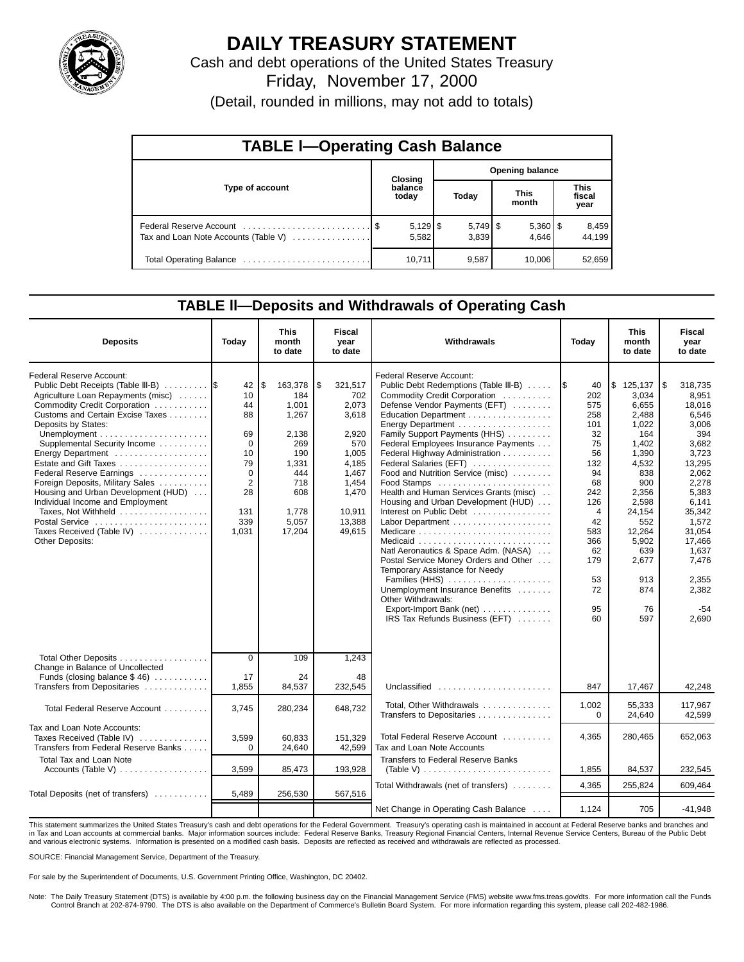

## **DAILY TREASURY STATEMENT**

Cash and debt operations of the United States Treasury Friday, November 17, 2000

(Detail, rounded in millions, may not add to totals)

| <b>TABLE I-Operating Cash Balance</b> |  |                  |  |                        |  |                       |                               |                 |  |  |  |
|---------------------------------------|--|------------------|--|------------------------|--|-----------------------|-------------------------------|-----------------|--|--|--|
|                                       |  | Closing          |  | <b>Opening balance</b> |  |                       |                               |                 |  |  |  |
| Type of account                       |  | balance<br>today |  | Today                  |  | <b>This</b><br>month  | <b>This</b><br>fiscal<br>year |                 |  |  |  |
| Tax and Loan Note Accounts (Table V)  |  | 5,582            |  | 3,839                  |  | $5,360$   \$<br>4.646 |                               | 8,459<br>44.199 |  |  |  |
|                                       |  | 10,711           |  | 9,587                  |  | 10.006                |                               | 52,659          |  |  |  |

### **TABLE ll—Deposits and Withdrawals of Operating Cash**

| <b>Deposits</b>                                                                                                                                                                                                                                                                                                                                                                                                                                                                                                                   | Today                                                                                                            | This<br>month<br>to date                                                                                                | <b>Fiscal</b><br>year<br>to date                                                                                                  | Withdrawals                                                                                                                                                                                                                                                                                                                                                                                                                                                                                                                                                                                                                                                                                                                                              | Today                                                                                                                                           | This<br>month<br>to date                                                                                                                                                                       |                                                                                                                                                                                                                         |
|-----------------------------------------------------------------------------------------------------------------------------------------------------------------------------------------------------------------------------------------------------------------------------------------------------------------------------------------------------------------------------------------------------------------------------------------------------------------------------------------------------------------------------------|------------------------------------------------------------------------------------------------------------------|-------------------------------------------------------------------------------------------------------------------------|-----------------------------------------------------------------------------------------------------------------------------------|----------------------------------------------------------------------------------------------------------------------------------------------------------------------------------------------------------------------------------------------------------------------------------------------------------------------------------------------------------------------------------------------------------------------------------------------------------------------------------------------------------------------------------------------------------------------------------------------------------------------------------------------------------------------------------------------------------------------------------------------------------|-------------------------------------------------------------------------------------------------------------------------------------------------|------------------------------------------------------------------------------------------------------------------------------------------------------------------------------------------------|-------------------------------------------------------------------------------------------------------------------------------------------------------------------------------------------------------------------------|
| <b>Federal Reserve Account:</b><br>Public Debt Receipts (Table III-B) 5<br>Agriculture Loan Repayments (misc)<br>Commodity Credit Corporation<br>Customs and Certain Excise Taxes<br>Deposits by States:<br>Supplemental Security Income<br>Energy Department<br>Estate and Gift Taxes<br>Federal Reserve Earnings<br>Foreign Deposits, Military Sales<br>Housing and Urban Development (HUD)<br>Individual Income and Employment<br>Taxes, Not Withheld<br>Postal Service<br>Taxes Received (Table IV)<br><b>Other Deposits:</b> | 42<br>10<br>44<br>88<br>69<br>$\mathbf 0$<br>10<br>79<br>$\Omega$<br>$\overline{2}$<br>28<br>131<br>339<br>1,031 | \$<br>163,378<br>184<br>1,001<br>1,267<br>2,138<br>269<br>190<br>1,331<br>444<br>718<br>608<br>1,778<br>5.057<br>17,204 | \$<br>321,517<br>702<br>2,073<br>3,618<br>2.920<br>570<br>1,005<br>4,185<br>1,467<br>1,454<br>1,470<br>10,911<br>13,388<br>49.615 | <b>Federal Reserve Account:</b><br>Public Debt Redemptions (Table III-B)<br>Commodity Credit Corporation<br>Defense Vendor Payments (EFT)<br>Education Department<br>Energy Department<br>Family Support Payments (HHS)<br>Federal Employees Insurance Payments<br>Federal Highway Administration<br>Federal Salaries (EFT)<br>Food and Nutrition Service (misc)<br>Food Stamps<br>Health and Human Services Grants (misc)<br>Housing and Urban Development (HUD)<br>Interest on Public Debt<br>Natl Aeronautics & Space Adm. (NASA)<br>Postal Service Money Orders and Other<br>Temporary Assistance for Needy<br>Families (HHS)<br>Unemployment Insurance Benefits<br>Other Withdrawals:<br>Export-Import Bank (net)<br>IRS Tax Refunds Business (EFT) | 40<br>202<br>575<br>258<br>101<br>32<br>75<br>56<br>132<br>94<br>68<br>242<br>126<br>4<br>42<br>583<br>366<br>62<br>179<br>53<br>72<br>95<br>60 | \$125,137<br>3.034<br>6,655<br>2.488<br>1,022<br>164<br>1,402<br>1,390<br>4,532<br>838<br>900<br>2,356<br>2.598<br>24,154<br>552<br>12.264<br>5,902<br>639<br>2,677<br>913<br>874<br>76<br>597 | 1\$<br>318,735<br>8,951<br>18,016<br>6.546<br>3,006<br>394<br>3,682<br>3,723<br>13,295<br>2,062<br>2.278<br>5.383<br>6.141<br>35,342<br>1.572<br>31.054<br>17,466<br>1,637<br>7,476<br>2,355<br>2,382<br>$-54$<br>2,690 |
| Total Other Deposits<br>Change in Balance of Uncollected<br>Funds (closing balance $$46$ )                                                                                                                                                                                                                                                                                                                                                                                                                                        | $\overline{0}$<br>17                                                                                             | 109<br>24                                                                                                               | 1,243<br>48                                                                                                                       |                                                                                                                                                                                                                                                                                                                                                                                                                                                                                                                                                                                                                                                                                                                                                          |                                                                                                                                                 |                                                                                                                                                                                                |                                                                                                                                                                                                                         |
| Transfers from Depositaries                                                                                                                                                                                                                                                                                                                                                                                                                                                                                                       | 1,855                                                                                                            | 84,537                                                                                                                  | 232,545                                                                                                                           | Unclassified<br>Total, Other Withdrawals                                                                                                                                                                                                                                                                                                                                                                                                                                                                                                                                                                                                                                                                                                                 | 847<br>1.002                                                                                                                                    | 17,467<br>55.333                                                                                                                                                                               | 42,248<br>117.967                                                                                                                                                                                                       |
| Total Federal Reserve Account                                                                                                                                                                                                                                                                                                                                                                                                                                                                                                     | 3,745                                                                                                            | 280,234                                                                                                                 | 648,732                                                                                                                           | Transfers to Depositaries                                                                                                                                                                                                                                                                                                                                                                                                                                                                                                                                                                                                                                                                                                                                | 0                                                                                                                                               | 24.640                                                                                                                                                                                         | 42.599                                                                                                                                                                                                                  |
| Tax and Loan Note Accounts:<br>Taxes Received (Table IV)<br>Transfers from Federal Reserve Banks                                                                                                                                                                                                                                                                                                                                                                                                                                  | 3,599<br>$\Omega$                                                                                                | 60,833<br>24,640                                                                                                        | 151,329<br>42,599                                                                                                                 | Total Federal Reserve Account<br>Tax and Loan Note Accounts                                                                                                                                                                                                                                                                                                                                                                                                                                                                                                                                                                                                                                                                                              | 4,365                                                                                                                                           | 280,465                                                                                                                                                                                        | 652,063                                                                                                                                                                                                                 |
| Total Tax and Loan Note<br>Accounts (Table V) $\dots \dots \dots \dots$                                                                                                                                                                                                                                                                                                                                                                                                                                                           | 3,599                                                                                                            | 85,473                                                                                                                  | 193,928                                                                                                                           | <b>Transfers to Federal Reserve Banks</b>                                                                                                                                                                                                                                                                                                                                                                                                                                                                                                                                                                                                                                                                                                                | 1,855                                                                                                                                           | 84,537                                                                                                                                                                                         | 232.545                                                                                                                                                                                                                 |
| Total Deposits (net of transfers)                                                                                                                                                                                                                                                                                                                                                                                                                                                                                                 | 5,489                                                                                                            | 256,530                                                                                                                 | 567,516                                                                                                                           | Total Withdrawals (net of transfers)                                                                                                                                                                                                                                                                                                                                                                                                                                                                                                                                                                                                                                                                                                                     | 4,365                                                                                                                                           | 255,824                                                                                                                                                                                        | 609.464                                                                                                                                                                                                                 |
|                                                                                                                                                                                                                                                                                                                                                                                                                                                                                                                                   |                                                                                                                  |                                                                                                                         |                                                                                                                                   | Net Change in Operating Cash Balance                                                                                                                                                                                                                                                                                                                                                                                                                                                                                                                                                                                                                                                                                                                     | 1,124                                                                                                                                           | 705                                                                                                                                                                                            | $-41.948$                                                                                                                                                                                                               |

This statement summarizes the United States Treasury's cash and debt operations for the Federal Government. Treasury's operating cash is maintained in account at Federal Reserve banks and branches and in Tax and Loan accounts at commercial banks. Major information sources include: Federal Reserve Banks, Treasury Regional Financial Centers, Internal Revenue Service Centers, Bureau of the Public Debt in Tax and Loan accou and various electronic systems. Information is presented on a modified cash basis. Deposits are reflected as received and withdrawals are reflected as processed.

SOURCE: Financial Management Service, Department of the Treasury.

For sale by the Superintendent of Documents, U.S. Government Printing Office, Washington, DC 20402.

Note: The Daily Treasury Statement (DTS) is available by 4:00 p.m. the following business day on the Financial Management Service (FMS) website www.fms.treas.gov/dts. For more information call the Funds Control Branch at 202-874-9790. The DTS is also available on the Department of Commerce's Bulletin Board System. For more information regarding this system, please call 202-482-1986.